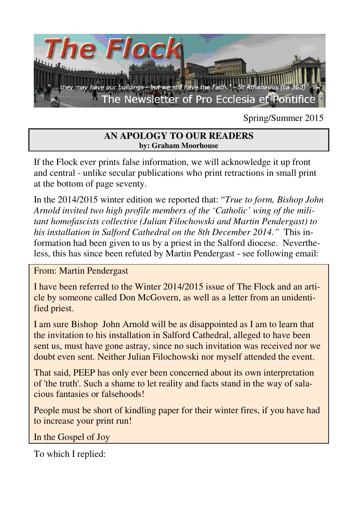

Spring/Summer 2015

#### **AN APOLOGY TO OUR READERS by: Graham Moorhouse**

If the Flock ever prints false information, we will acknowledge it up front and central - unlike secular publications who print retractions in small print at the bottom of page seventy.

In the 2014/2015 winter edition we reported that: "*True to form, Bishop John Arnold invited two high profile members of the 'Catholic' wing of the militant homofascists collective (Julian Filochowski and Martin Pendergast) to his installation in Salford Cathedral on the 8th December 2014."* This information had been given to us by a priest in the Salford diocese. Nevertheless, this has since been refuted by Martin Pendergast - see following email:

From: Martin Pendergast

I have been referred to the Winter 2014/2015 issue of The Flock and an article by someone called Don McGovern, as well as a letter from an unidentified priest.

I am sure Bishop John Arnold will be as disappointed as I am to learn that the invitation to his installation in Salford Cathedral, alleged to have been sent us, must have gone astray, since no such invitation was received nor we doubt even sent. Neither Julian Filochowski nor myself attended the event.

That said, PEEP has only ever been concerned about its own interpretation of 'the truth'. Such a shame to let reality and facts stand in the way of salacious fantasies or falsehoods!

People must be short of kindling paper for their winter fires, if you have had to increase your print run!

In the Gospel of Joy

To which I replied: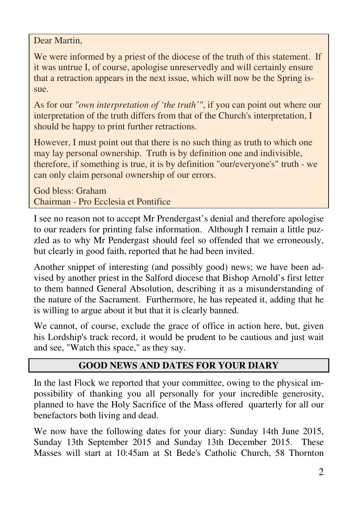Dear Martin,

We were informed by a priest of the diocese of the truth of this statement. If it was untrue I, of course, apologise unreservedly and will certainly ensure that a retraction appears in the next issue, which will now be the Spring issue.

As for our *"own interpretation of 'the truth'"*, if you can point out where our interpretation of the truth differs from that of the Church's interpretation, I should be happy to print further retractions.

However, I must point out that there is no such thing as truth to which one may lay personal ownership. Truth is by definition one and indivisible, therefore, if something is true, it is by definition "our/everyone's" truth - we can only claim personal ownership of our errors.

God bless: Graham Chairman - Pro Ecclesia et Pontifice

I see no reason not to accept Mr Prendergast's denial and therefore apologise to our readers for printing false information. Although I remain a little puzzled as to why Mr Pendergast should feel so offended that we erroneously, but clearly in good faith, reported that he had been invited.

Another snippet of interesting (and possibly good) news; we have been advised by another priest in the Salford diocese that Bishop Arnold's first letter to them banned General Absolution, describing it as a misunderstanding of the nature of the Sacrament. Furthermore, he has repeated it, adding that he is willing to argue about it but that it is clearly banned.

We cannot, of course, exclude the grace of office in action here, but, given his Lordship's track record, it would be prudent to be cautious and just wait and see, "Watch this space," as they say.

## **GOOD NEWS AND DATES FOR YOUR DIARY**

In the last Flock we reported that your committee, owing to the physical impossibility of thanking you all personally for your incredible generosity, planned to have the Holy Sacrifice of the Mass offered quarterly for all our benefactors both living and dead.

We now have the following dates for your diary: Sunday 14th June 2015, Sunday 13th September 2015 and Sunday 13th December 2015. These Masses will start at 10:45am at St Bede's Catholic Church, 58 Thornton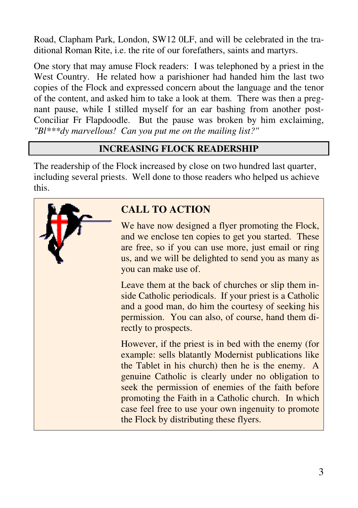Road, Clapham Park, London, SW12 0LF, and will be celebrated in the traditional Roman Rite, i.e. the rite of our forefathers, saints and martyrs.

One story that may amuse Flock readers: I was telephoned by a priest in the West Country. He related how a parishioner had handed him the last two copies of the Flock and expressed concern about the language and the tenor of the content, and asked him to take a look at them. There was then a pregnant pause, while I stilled myself for an ear bashing from another post-Conciliar Fr Flapdoodle. But the pause was broken by him exclaiming, *"Bl\*\*\*dy marvellous! Can you put me on the mailing list?"* 

## **INCREASING FLOCK READERSHIP**

The readership of the Flock increased by close on two hundred last quarter, including several priests. Well done to those readers who helped us achieve this.



# **CALL TO ACTION**

We have now designed a flyer promoting the Flock, and we enclose ten copies to get you started. These are free, so if you can use more, just email or ring us, and we will be delighted to send you as many as you can make use of.

Leave them at the back of churches or slip them inside Catholic periodicals. If your priest is a Catholic and a good man, do him the courtesy of seeking his permission. You can also, of course, hand them directly to prospects.

However, if the priest is in bed with the enemy (for example: sells blatantly Modernist publications like the Tablet in his church) then he is the enemy. A genuine Catholic is clearly under no obligation to seek the permission of enemies of the faith before promoting the Faith in a Catholic church. In which case feel free to use your own ingenuity to promote the Flock by distributing these flyers.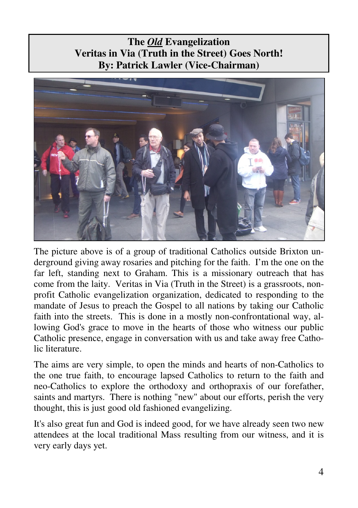## **The** *Old* **Evangelization Veritas in Via (Truth in the Street) Goes North! By: Patrick Lawler (Vice-Chairman)**



The picture above is of a group of traditional Catholics outside Brixton underground giving away rosaries and pitching for the faith. I'm the one on the far left, standing next to Graham. This is a missionary outreach that has come from the laity. Veritas in Via (Truth in the Street) is a grassroots, nonprofit Catholic evangelization organization, dedicated to responding to the mandate of Jesus to preach the Gospel to all nations by taking our Catholic faith into the streets. This is done in a mostly non-confrontational way, allowing God's grace to move in the hearts of those who witness our public Catholic presence, engage in conversation with us and take away free Catholic literature.

The aims are very simple, to open the minds and hearts of non-Catholics to the one true faith, to encourage lapsed Catholics to return to the faith and neo-Catholics to explore the orthodoxy and orthopraxis of our forefather, saints and martyrs. There is nothing "new" about our efforts, perish the very thought, this is just good old fashioned evangelizing.

It's also great fun and God is indeed good, for we have already seen two new attendees at the local traditional Mass resulting from our witness, and it is very early days yet.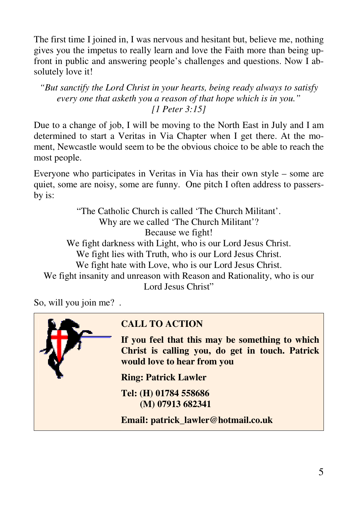The first time I joined in, I was nervous and hesitant but, believe me, nothing gives you the impetus to really learn and love the Faith more than being upfront in public and answering people's challenges and questions. Now I absolutely love it!

*"But sanctify the Lord Christ in your hearts, being ready always to satisfy every one that asketh you a reason of that hope which is in you." [1 Peter 3:15]* 

Due to a change of job, I will be moving to the North East in July and I am determined to start a Veritas in Via Chapter when I get there. At the moment, Newcastle would seem to be the obvious choice to be able to reach the most people.

Everyone who participates in Veritas in Via has their own style – some are quiet, some are noisy, some are funny. One pitch I often address to passersby is:

"The Catholic Church is called 'The Church Militant'. Why are we called 'The Church Militant'? Because we fight! We fight darkness with Light, who is our Lord Jesus Christ. We fight lies with Truth, who is our Lord Jesus Christ. We fight hate with Love, who is our Lord Jesus Christ. We fight insanity and unreason with Reason and Rationality, who is our Lord Jesus Christ"

So, will you join me? .



## **CALL TO ACTION**

**If you feel that this may be something to which Christ is calling you, do get in touch. Patrick would love to hear from you** 

**Ring: Patrick Lawler** 

**Tel: (H) 01784 558686 (M) 07913 682341** 

**Email: patrick\_lawler@hotmail.co.uk**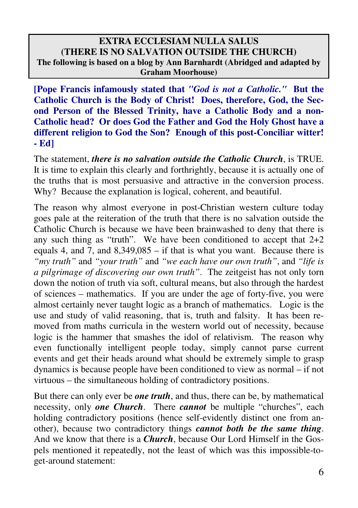#### **EXTRA ECCLESIAM NULLA SALUS (THERE IS NO SALVATION OUTSIDE THE CHURCH) The following is based on a blog by Ann Barnhardt (Abridged and adapted by Graham Moorhouse)**

**[Pope Francis infamously stated that** *"God is not a Catholic."* **But the Catholic Church is the Body of Christ! Does, therefore, God, the Second Person of the Blessed Trinity, have a Catholic Body and a non-Catholic head? Or does God the Father and God the Holy Ghost have a different religion to God the Son? Enough of this post-Conciliar witter! - Ed]** 

The statement, *there is no salvation outside the Catholic Church*, is TRUE. It is time to explain this clearly and forthrightly, because it is actually one of the truths that is most persuasive and attractive in the conversion process. Why? Because the explanation is logical, coherent, and beautiful.

The reason why almost everyone in post-Christian western culture today goes pale at the reiteration of the truth that there is no salvation outside the Catholic Church is because we have been brainwashed to deny that there is any such thing as "truth". We have been conditioned to accept that  $2+2$ equals 4, and 7, and 8,349,085 – if that is what you want. Because there is *"my truth"* and *"your truth"* and *"we each have our own truth"*, and *"life is a pilgrimage of discovering our own truth"*. The zeitgeist has not only torn down the notion of truth via soft, cultural means, but also through the hardest of sciences – mathematics. If you are under the age of forty-five, you were almost certainly never taught logic as a branch of mathematics. Logic is the use and study of valid reasoning, that is, truth and falsity. It has been removed from maths curricula in the western world out of necessity, because logic is the hammer that smashes the idol of relativism. The reason why even functionally intelligent people today, simply cannot parse current events and get their heads around what should be extremely simple to grasp dynamics is because people have been conditioned to view as normal – if not virtuous – the simultaneous holding of contradictory positions.

But there can only ever be *one truth*, and thus, there can be, by mathematical necessity, only *one Church*. There *cannot* be multiple "churches", each holding contradictory positions (hence self-evidently distinct one from another), because two contradictory things *cannot both be the same thing*. And we know that there is a *Church*, because Our Lord Himself in the Gospels mentioned it repeatedly, not the least of which was this impossible-toget-around statement: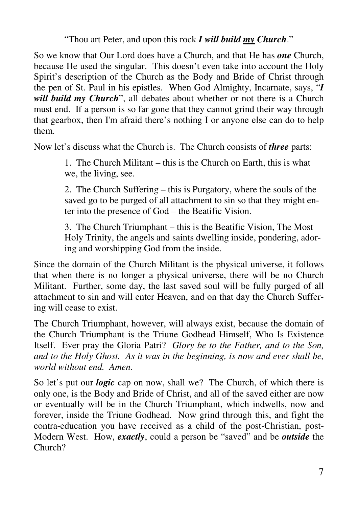"Thou art Peter, and upon this rock *I will build my Church*."

So we know that Our Lord does have a Church, and that He has *one* Church, because He used the singular. This doesn't even take into account the Holy Spirit's description of the Church as the Body and Bride of Christ through the pen of St. Paul in his epistles. When God Almighty, Incarnate, says, "*I will build my Church*", all debates about whether or not there is a Church must end. If a person is so far gone that they cannot grind their way through that gearbox, then I'm afraid there's nothing I or anyone else can do to help them.

Now let's discuss what the Church is. The Church consists of *three* parts:

1. The Church Militant – this is the Church on Earth, this is what we, the living, see.

2. The Church Suffering – this is Purgatory, where the souls of the saved go to be purged of all attachment to sin so that they might enter into the presence of God – the Beatific Vision.

3. The Church Triumphant – this is the Beatific Vision, The Most Holy Trinity, the angels and saints dwelling inside, pondering, adoring and worshipping God from the inside.

Since the domain of the Church Militant is the physical universe, it follows that when there is no longer a physical universe, there will be no Church Militant. Further, some day, the last saved soul will be fully purged of all attachment to sin and will enter Heaven, and on that day the Church Suffering will cease to exist.

The Church Triumphant, however, will always exist, because the domain of the Church Triumphant is the Triune Godhead Himself, Who Is Existence Itself. Ever pray the Gloria Patri? *Glory be to the Father, and to the Son, and to the Holy Ghost. As it was in the beginning, is now and ever shall be, world without end. Amen.*

So let's put our *logic* cap on now, shall we? The Church, of which there is only one, is the Body and Bride of Christ, and all of the saved either are now or eventually will be in the Church Triumphant, which indwells, now and forever, inside the Triune Godhead. Now grind through this, and fight the contra-education you have received as a child of the post-Christian, post-Modern West. How, *exactly*, could a person be "saved" and be *outside* the Church?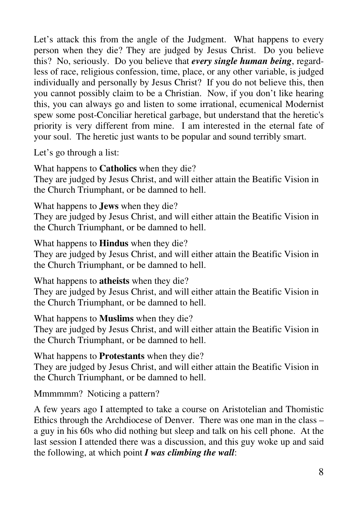Let's attack this from the angle of the Judgment. What happens to every person when they die? They are judged by Jesus Christ. Do you believe this? No, seriously. Do you believe that *every single human being*, regardless of race, religious confession, time, place, or any other variable, is judged individually and personally by Jesus Christ? If you do not believe this, then you cannot possibly claim to be a Christian. Now, if you don't like hearing this, you can always go and listen to some irrational, ecumenical Modernist spew some post-Conciliar heretical garbage, but understand that the heretic's priority is very different from mine. I am interested in the eternal fate of your soul. The heretic just wants to be popular and sound terribly smart.

Let's go through a list:

What happens to **Catholics** when they die?

They are judged by Jesus Christ, and will either attain the Beatific Vision in the Church Triumphant, or be damned to hell.

What happens to **Jews** when they die?

They are judged by Jesus Christ, and will either attain the Beatific Vision in the Church Triumphant, or be damned to hell.

What happens to **Hindus** when they die?

They are judged by Jesus Christ, and will either attain the Beatific Vision in the Church Triumphant, or be damned to hell.

What happens to **atheists** when they die?

They are judged by Jesus Christ, and will either attain the Beatific Vision in the Church Triumphant, or be damned to hell.

What happens to **Muslims** when they die?

They are judged by Jesus Christ, and will either attain the Beatific Vision in the Church Triumphant, or be damned to hell.

What happens to **Protestants** when they die?

They are judged by Jesus Christ, and will either attain the Beatific Vision in the Church Triumphant, or be damned to hell.

Mmmmmm? Noticing a pattern?

A few years ago I attempted to take a course on Aristotelian and Thomistic Ethics through the Archdiocese of Denver. There was one man in the class – a guy in his 60s who did nothing but sleep and talk on his cell phone. At the last session I attended there was a discussion, and this guy woke up and said the following, at which point *I was climbing the wall*: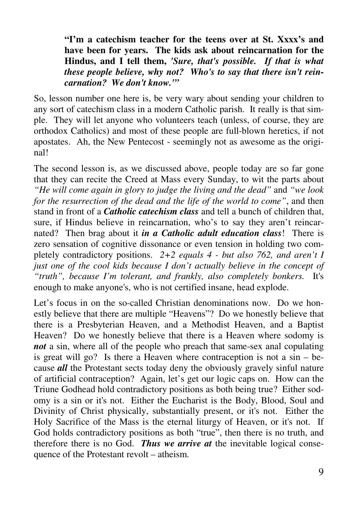**"I'm a catechism teacher for the teens over at St. Xxxx's and have been for years. The kids ask about reincarnation for the Hindus, and I tell them,** *'Sure, that's possible. If that is what these people believe, why not? Who's to say that there isn't reincarnation? We don't know.'"* 

So, lesson number one here is, be very wary about sending your children to any sort of catechism class in a modern Catholic parish. It really is that simple. They will let anyone who volunteers teach (unless, of course, they are orthodox Catholics) and most of these people are full-blown heretics, if not apostates. Ah, the New Pentecost - seemingly not as awesome as the original!

The second lesson is, as we discussed above, people today are so far gone that they can recite the Creed at Mass every Sunday, to wit the parts about *"He will come again in glory to judge the living and the dead"* and *"we look for the resurrection of the dead and the life of the world to come"*, and then stand in front of a *Catholic catechism class* and tell a bunch of children that, sure, if Hindus believe in reincarnation, who's to say they aren't reincarnated? Then brag about it *in a Catholic adult education class*! There is zero sensation of cognitive dissonance or even tension in holding two completely contradictory positions. *2+2 equals 4 - but also 762, and aren't I just one of the cool kids because I don't actually believe in the concept of "truth", because I'm tolerant, and frankly, also completely bonkers.* It's enough to make anyone's, who is not certified insane, head explode.

Let's focus in on the so-called Christian denominations now. Do we honestly believe that there are multiple "Heavens"? Do we honestly believe that there is a Presbyterian Heaven, and a Methodist Heaven, and a Baptist Heaven? Do we honestly believe that there is a Heaven where sodomy is *not* a sin, where all of the people who preach that same-sex anal copulating is great will go? Is there a Heaven where contraception is not a sin – because *all* the Protestant sects today deny the obviously gravely sinful nature of artificial contraception? Again, let's get our logic caps on. How can the Triune Godhead hold contradictory positions as both being true? Either sodomy is a sin or it's not. Either the Eucharist is the Body, Blood, Soul and Divinity of Christ physically, substantially present, or it's not. Either the Holy Sacrifice of the Mass is the eternal liturgy of Heaven, or it's not. If God holds contradictory positions as both "true", then there is no truth, and therefore there is no God. *Thus we arrive at* the inevitable logical consequence of the Protestant revolt – atheism.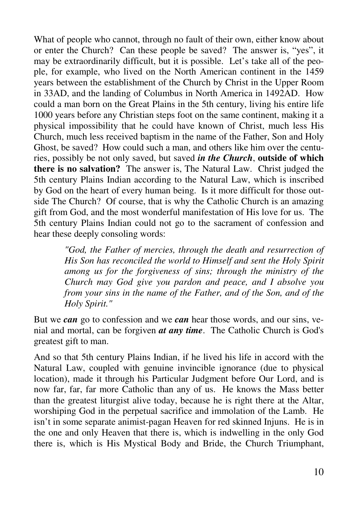What of people who cannot, through no fault of their own, either know about or enter the Church? Can these people be saved? The answer is, "yes", it may be extraordinarily difficult, but it is possible. Let's take all of the people, for example, who lived on the North American continent in the 1459 years between the establishment of the Church by Christ in the Upper Room in 33AD, and the landing of Columbus in North America in 1492AD. How could a man born on the Great Plains in the 5th century, living his entire life 1000 years before any Christian steps foot on the same continent, making it a physical impossibility that he could have known of Christ, much less His Church, much less received baptism in the name of the Father, Son and Holy Ghost, be saved? How could such a man, and others like him over the centuries, possibly be not only saved, but saved *in the Church*, **outside of which there is no salvation?** The answer is, The Natural Law. Christ judged the 5th century Plains Indian according to the Natural Law, which is inscribed by God on the heart of every human being. Is it more difficult for those outside The Church? Of course, that is why the Catholic Church is an amazing gift from God, and the most wonderful manifestation of His love for us. The 5th century Plains Indian could not go to the sacrament of confession and hear these deeply consoling words:

> *"God, the Father of mercies, through the death and resurrection of His Son has reconciled the world to Himself and sent the Holy Spirit among us for the forgiveness of sins; through the ministry of the Church may God give you pardon and peace, and I absolve you from your sins in the name of the Father, and of the Son, and of the Holy Spirit."*

But we *can* go to confession and we *can* hear those words, and our sins, venial and mortal, can be forgiven *at any time*. The Catholic Church is God's greatest gift to man.

And so that 5th century Plains Indian, if he lived his life in accord with the Natural Law, coupled with genuine invincible ignorance (due to physical location), made it through his Particular Judgment before Our Lord, and is now far, far, far more Catholic than any of us. He knows the Mass better than the greatest liturgist alive today, because he is right there at the Altar, worshiping God in the perpetual sacrifice and immolation of the Lamb. He isn't in some separate animist-pagan Heaven for red skinned Injuns. He is in the one and only Heaven that there is, which is indwelling in the only God there is, which is His Mystical Body and Bride, the Church Triumphant,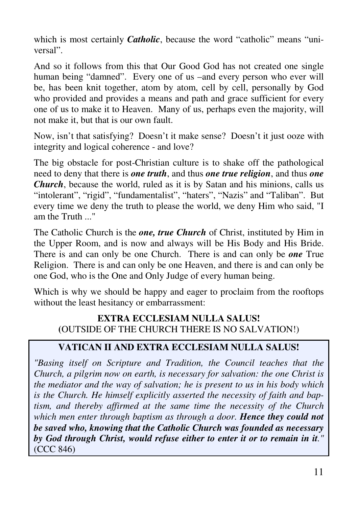which is most certainly *Catholic*, because the word "catholic" means "universal".

And so it follows from this that Our Good God has not created one single human being "damned". Every one of us –and every person who ever will be, has been knit together, atom by atom, cell by cell, personally by God who provided and provides a means and path and grace sufficient for every one of us to make it to Heaven. Many of us, perhaps even the majority, will not make it, but that is our own fault.

Now, isn't that satisfying? Doesn't it make sense? Doesn't it just ooze with integrity and logical coherence - and love?

The big obstacle for post-Christian culture is to shake off the pathological need to deny that there is *one truth*, and thus *one true religion*, and thus *one Church*, because the world, ruled as it is by Satan and his minions, calls us "intolerant", "rigid", "fundamentalist", "haters", "Nazis" and "Taliban". But every time we deny the truth to please the world, we deny Him who said, "I am the Truth "

The Catholic Church is the *one, true Church* of Christ, instituted by Him in the Upper Room, and is now and always will be His Body and His Bride. There is and can only be one Church. There is and can only be *one* True Religion. There is and can only be one Heaven, and there is and can only be one God, who is the One and Only Judge of every human being.

Which is why we should be happy and eager to proclaim from the rooftops without the least hesitancy or embarrassment:

### **EXTRA ECCLESIAM NULLA SALUS! (**OUTSIDE OF THE CHURCH THERE IS NO SALVATION!)

## **VATICAN II AND EXTRA ECCLESIAM NULLA SALUS!**

*"Basing itself on Scripture and Tradition, the Council teaches that the Church, a pilgrim now on earth, is necessary for salvation: the one Christ is the mediator and the way of salvation; he is present to us in his body which is the Church. He himself explicitly asserted the necessity of faith and baptism, and thereby affirmed at the same time the necessity of the Church which men enter through baptism as through a door. Hence they could not be saved who, knowing that the Catholic Church was founded as necessary by God through Christ, would refuse either to enter it or to remain in it."* (CCC 846)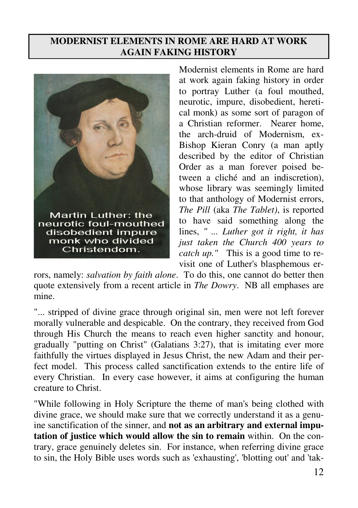### **MODERNIST ELEMENTS IN ROME ARE HARD AT WORK AGAIN FAKING HISTORY**



Modernist elements in Rome are hard at work again faking history in order to portray Luther (a foul mouthed, neurotic, impure, disobedient, heretical monk) as some sort of paragon of a Christian reformer. Nearer home, the arch-druid of Modernism, ex-Bishop Kieran Conry (a man aptly described by the editor of Christian Order as a man forever poised between a cliché and an indiscretion), whose library was seemingly limited to that anthology of Modernist errors, *The Pill* (aka *The Tablet)*, is reported to have said something along the lines, *" ... Luther got it right, it has just taken the Church 400 years to catch up."* This is a good time to revisit one of Luther's blasphemous er-

rors, namely: *salvation by faith alone*. To do this, one cannot do better then quote extensively from a recent article in *The Dowry*. NB all emphases are mine.

"... stripped of divine grace through original sin, men were not left forever morally vulnerable and despicable. On the contrary, they received from God through His Church the means to reach even higher sanctity and honour, gradually "putting on Christ" (Galatians 3:27), that is imitating ever more faithfully the virtues displayed in Jesus Christ, the new Adam and their perfect model. This process called sanctification extends to the entire life of every Christian. In every case however, it aims at configuring the human creature to Christ.

"While following in Holy Scripture the theme of man's being clothed with divine grace, we should make sure that we correctly understand it as a genuine sanctification of the sinner, and **not as an arbitrary and external imputation of justice which would allow the sin to remain** within. On the contrary, grace genuinely deletes sin. For instance, when referring divine grace to sin, the Holy Bible uses words such as 'exhausting', 'blotting out' and 'tak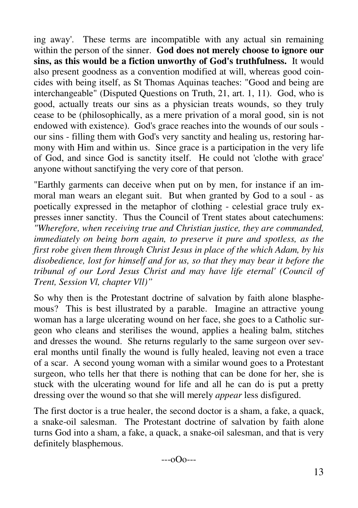ing away'. These terms are incompatible with any actual sin remaining within the person of the sinner. **God does not merely choose to ignore our sins, as this would be a fiction unworthy of God's truthfulness.** It would also present goodness as a convention modified at will, whereas good coincides with being itself, as St Thomas Aquinas teaches: "Good and being are interchangeable" (Disputed Questions on Truth, 21, art. 1, 11). God, who is good, actually treats our sins as a physician treats wounds, so they truly cease to be (philosophically, as a mere privation of a moral good, sin is not endowed with existence). God's grace reaches into the wounds of our souls our sins - filling them with God's very sanctity and healing us, restoring harmony with Him and within us. Since grace is a participation in the very life of God, and since God is sanctity itself. He could not 'clothe with grace' anyone without sanctifying the very core of that person.

"Earthly garments can deceive when put on by men, for instance if an immoral man wears an elegant suit. But when granted by God to a soul - as poetically expressed in the metaphor of clothing - celestial grace truly expresses inner sanctity. Thus the Council of Trent states about catechumens: *"Wherefore, when receiving true and Christian justice, they are commanded, immediately on being born again, to preserve it pure and spotless, as the first robe given them through Christ Jesus in place of the which Adam, by his disobedience, lost for himself and for us, so that they may bear it before the tribunal of our Lord Jesus Christ and may have life eternal' (Council of Trent, Session Vl, chapter Vll)"* 

So why then is the Protestant doctrine of salvation by faith alone blasphemous? This is best illustrated by a parable. Imagine an attractive young woman has a large ulcerating wound on her face, she goes to a Catholic surgeon who cleans and sterilises the wound, applies a healing balm, stitches and dresses the wound. She returns regularly to the same surgeon over several months until finally the wound is fully healed, leaving not even a trace of a scar. A second young woman with a similar wound goes to a Protestant surgeon, who tells her that there is nothing that can be done for her, she is stuck with the ulcerating wound for life and all he can do is put a pretty dressing over the wound so that she will merely *appear* less disfigured.

The first doctor is a true healer, the second doctor is a sham, a fake, a quack, a snake-oil salesman. The Protestant doctrine of salvation by faith alone turns God into a sham, a fake, a quack, a snake-oil salesman, and that is very definitely blasphemous.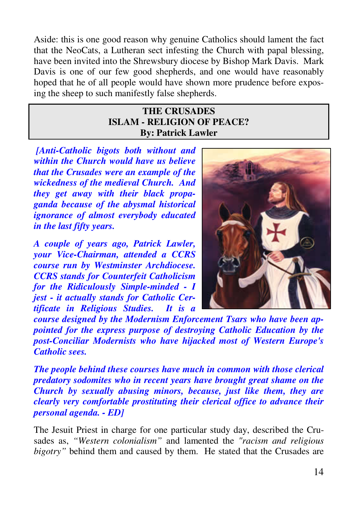Aside: this is one good reason why genuine Catholics should lament the fact that the NeoCats, a Lutheran sect infesting the Church with papal blessing, have been invited into the Shrewsbury diocese by Bishop Mark Davis. Mark Davis is one of our few good shepherds, and one would have reasonably hoped that he of all people would have shown more prudence before exposing the sheep to such manifestly false shepherds.

#### **THE CRUSADES ISLAM - RELIGION OF PEACE? By: Patrick Lawler**

 *[Anti-Catholic bigots both without and within the Church would have us believe that the Crusades were an example of the wickedness of the medieval Church. And they get away with their black propaganda because of the abysmal historical ignorance of almost everybody educated in the last fifty years.* 

*A couple of years ago, Patrick Lawler, your Vice-Chairman, attended a CCRS course run by Westminster Archdiocese. CCRS stands for Counterfeit Catholicism for the Ridiculously Simple-minded - I jest - it actually stands for Catholic Certificate in Religious Studies. It is a* 



*course designed by the Modernism Enforcement Tsars who have been appointed for the express purpose of destroying Catholic Education by the post-Conciliar Modernists who have hijacked most of Western Europe's Catholic sees.* 

*The people behind these courses have much in common with those clerical predatory sodomites who in recent years have brought great shame on the Church by sexually abusing minors, because, just like them, they are clearly very comfortable prostituting their clerical office to advance their personal agenda. - ED]* 

The Jesuit Priest in charge for one particular study day, described the Crusades as, *"Western colonialism"* and lamented the *"racism and religious bigotry"* behind them and caused by them. He stated that the Crusades are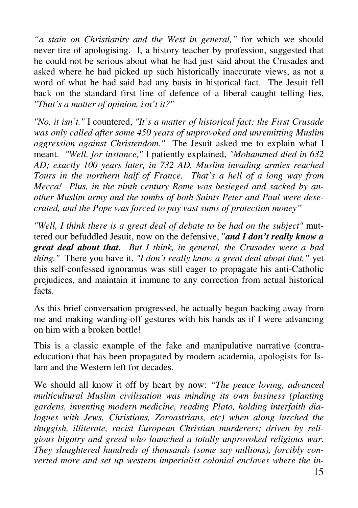*"a stain on Christianity and the West in general,"* for which we should never tire of apologising. I, a history teacher by profession, suggested that he could not be serious about what he had just said about the Crusades and asked where he had picked up such historically inaccurate views, as not a word of what he had said had any basis in historical fact. The Jesuit fell back on the standard first line of defence of a liberal caught telling lies, *"That's a matter of opinion, isn't it?"*

*"No, it isn't."* I countered, *"It's a matter of historical fact; the First Crusade was only called after some 450 years of unprovoked and unremitting Muslim aggression against Christendom."* The Jesuit asked me to explain what I meant. *"Well, for instance,"* I patiently explained, *"Mohammed died in 632 AD; exactly 100 years later, in 732 AD, Muslim invading armies reached Tours in the northern half of France. That's a hell of a long way from Mecca! Plus, in the ninth century Rome was besieged and sacked by another Muslim army and the tombs of both Saints Peter and Paul were desecrated, and the Pope was forced to pay vast sums of protection money"*

*"Well, I think there is a great deal of debate to be had on the subject"* muttered our befuddled Jesuit, now on the defensive, "*and I don't really know a great deal about that. But I think, in general, the Crusades were a bad thing."* There you have it, *"I don't really know a great deal about that,"* yet this self-confessed ignoramus was still eager to propagate his anti-Catholic prejudices, and maintain it immune to any correction from actual historical facts.

As this brief conversation progressed, he actually began backing away from me and making warding-off gestures with his hands as if I were advancing on him with a broken bottle!

This is a classic example of the fake and manipulative narrative (contraeducation) that has been propagated by modern academia, apologists for Islam and the Western left for decades.

We should all know it off by heart by now: *"The peace loving, advanced multicultural Muslim civilisation was minding its own business (planting gardens, inventing modern medicine, reading Plato, holding interfaith dialogues with Jews, Christians, Zoroastrians, etc) when along lurched the thuggish, illiterate, racist European Christian murderers; driven by religious bigotry and greed who launched a totally unprovoked religious war. They slaughtered hundreds of thousands (some say millions), forcibly converted more and set up western imperialist colonial enclaves where the in-*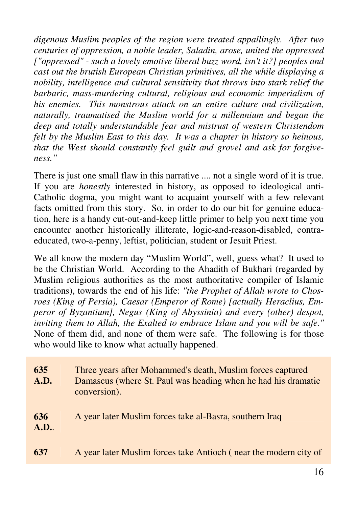*digenous Muslim peoples of the region were treated appallingly. After two centuries of oppression, a noble leader, Saladin, arose, united the oppressed ["oppressed" - such a lovely emotive liberal buzz word, isn't it?] peoples and cast out the brutish European Christian primitives, all the while displaying a nobility, intelligence and cultural sensitivity that throws into stark relief the barbaric, mass-murdering cultural, religious and economic imperialism of his enemies. This monstrous attack on an entire culture and civilization, naturally, traumatised the Muslim world for a millennium and began the deep and totally understandable fear and mistrust of western Christendom felt by the Muslim East to this day. It was a chapter in history so heinous, that the West should constantly feel guilt and grovel and ask for forgiveness."*

There is just one small flaw in this narrative ..., not a single word of it is true. If you are *honestly* interested in history, as opposed to ideological anti-Catholic dogma, you might want to acquaint yourself with a few relevant facts omitted from this story. So, in order to do our bit for genuine education, here is a handy cut-out-and-keep little primer to help you next time you encounter another historically illiterate, logic-and-reason-disabled, contraeducated, two-a-penny, leftist, politician, student or Jesuit Priest.

We all know the modern day "Muslim World", well, guess what? It used to be the Christian World. According to the Ahadith of Bukhari (regarded by Muslim religious authorities as the most authoritative compiler of Islamic traditions), towards the end of his life: *"the Prophet of Allah wrote to Chosroes (King of Persia), Caesar (Emperor of Rome) [actually Heraclius, Emperor of Byzantium], Negus (King of Abyssinia) and every (other) despot, inviting them to Allah, the Exalted to embrace Islam and you will be safe."* None of them did, and none of them were safe. The following is for those who would like to know what actually happened.

| 635<br>A.D.          | Three years after Mohammed's death, Muslim forces captured<br>Damascus (where St. Paul was heading when he had his dramatic<br>conversion). |
|----------------------|---------------------------------------------------------------------------------------------------------------------------------------------|
| 636<br><b>A.D.</b> . | A year later Muslim forces take al-Basra, southern Iraq                                                                                     |
| 637                  | A year later Muslim forces take Antioch (near the modern city of                                                                            |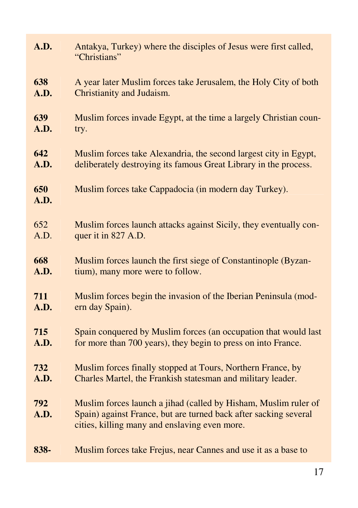| A.D.        | Antakya, Turkey) where the disciples of Jesus were first called,<br>"Christians"                                                                                                     |
|-------------|--------------------------------------------------------------------------------------------------------------------------------------------------------------------------------------|
| 638         | A year later Muslim forces take Jerusalem, the Holy City of both                                                                                                                     |
| A.D.        | Christianity and Judaism.                                                                                                                                                            |
| 639         | Muslim forces invade Egypt, at the time a largely Christian coun-                                                                                                                    |
| A.D.        | try.                                                                                                                                                                                 |
| 642         | Muslim forces take Alexandria, the second largest city in Egypt,                                                                                                                     |
| A.D.        | deliberately destroying its famous Great Library in the process.                                                                                                                     |
| 650<br>A.D. | Muslim forces take Cappadocia (in modern day Turkey).                                                                                                                                |
| 652         | Muslim forces launch attacks against Sicily, they eventually con-                                                                                                                    |
| A.D.        | quer it in 827 A.D.                                                                                                                                                                  |
| 668         | Muslim forces launch the first siege of Constantinople (Byzan-                                                                                                                       |
| A.D.        | tium), many more were to follow.                                                                                                                                                     |
| 711         | Muslim forces begin the invasion of the Iberian Peninsula (mod-                                                                                                                      |
| A.D.        | ern day Spain).                                                                                                                                                                      |
| 715         | Spain conquered by Muslim forces (an occupation that would last                                                                                                                      |
| A.D.        | for more than 700 years), they begin to press on into France.                                                                                                                        |
| 732         | Muslim forces finally stopped at Tours, Northern France, by                                                                                                                          |
| A.D.        | Charles Martel, the Frankish statesman and military leader.                                                                                                                          |
| 792<br>A.D. | Muslim forces launch a jihad (called by Hisham, Muslim ruler of<br>Spain) against France, but are turned back after sacking several<br>cities, killing many and enslaving even more. |
| 838-        | Muslim forces take Frejus, near Cannes and use it as a base to                                                                                                                       |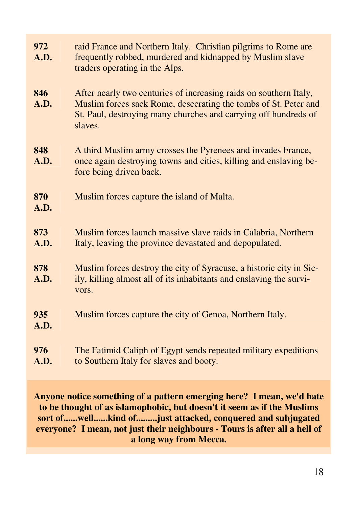| 972<br>A.D. | raid France and Northern Italy. Christian pilgrims to Rome are<br>frequently robbed, murdered and kidnapped by Muslim slave<br>traders operating in the Alps.                                                      |
|-------------|--------------------------------------------------------------------------------------------------------------------------------------------------------------------------------------------------------------------|
| 846<br>A.D. | After nearly two centuries of increasing raids on southern Italy,<br>Muslim forces sack Rome, desecrating the tombs of St. Peter and<br>St. Paul, destroying many churches and carrying off hundreds of<br>slaves. |
| 848<br>A.D. | A third Muslim army crosses the Pyrenees and invades France,<br>once again destroying towns and cities, killing and enslaving be-<br>fore being driven back.                                                       |
| 870<br>A.D. | Muslim forces capture the island of Malta.                                                                                                                                                                         |
| 873<br>A.D. | Muslim forces launch massive slave raids in Calabria, Northern<br>Italy, leaving the province devastated and depopulated.                                                                                          |
| 878<br>A.D. | Muslim forces destroy the city of Syracuse, a historic city in Sic-<br>ily, killing almost all of its inhabitants and enslaving the survi-<br>vors.                                                                |
| 935<br>A.D. | Muslim forces capture the city of Genoa, Northern Italy.                                                                                                                                                           |
| 976<br>A.D. | The Fatimid Caliph of Egypt sends repeated military expeditions<br>to Southern Italy for slaves and booty.                                                                                                         |

**Anyone notice something of a pattern emerging here? I mean, we'd hate to be thought of as islamophobic, but doesn't it seem as if the Muslims sort of......well......kind of.........just attacked, conquered and subjugated everyone? I mean, not just their neighbours - Tours is after all a hell of a long way from Mecca.**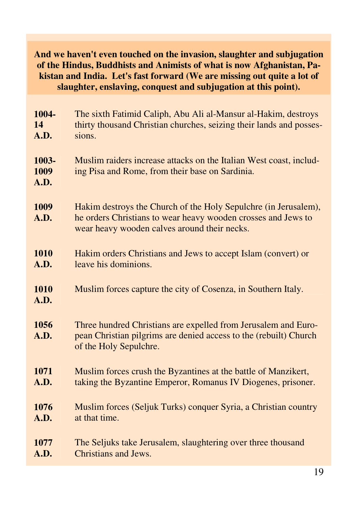#### **And we haven't even touched on the invasion, slaughter and subjugation of the Hindus, Buddhists and Animists of what is now Afghanistan, Pakistan and India. Let's fast forward (We are missing out quite a lot of slaughter, enslaving, conquest and subjugation at this point).**

| 1004-                 | The sixth Fatimid Caliph, Abu Ali al-Mansur al-Hakim, destroys                                                                                                                   |
|-----------------------|----------------------------------------------------------------------------------------------------------------------------------------------------------------------------------|
| 14                    | thirty thousand Christian churches, seizing their lands and posses-                                                                                                              |
| A.D.                  | sions.                                                                                                                                                                           |
| 1003-<br>1009<br>A.D. | Muslim raiders increase attacks on the Italian West coast, includ-<br>ing Pisa and Rome, from their base on Sardinia.                                                            |
| 1009<br>A.D.          | Hakim destroys the Church of the Holy Sepulchre (in Jerusalem),<br>he orders Christians to wear heavy wooden crosses and Jews to<br>wear heavy wooden calves around their necks. |
| 1010                  | Hakim orders Christians and Jews to accept Islam (convert) or                                                                                                                    |
| A.D.                  | leave his dominions.                                                                                                                                                             |
| 1010<br>A.D.          | Muslim forces capture the city of Cosenza, in Southern Italy.                                                                                                                    |
| 1056<br>A.D.          | Three hundred Christians are expelled from Jerusalem and Euro-<br>pean Christian pilgrims are denied access to the (rebuilt) Church<br>of the Holy Sepulchre.                    |
| 1071                  | Muslim forces crush the Byzantines at the battle of Manzikert,                                                                                                                   |
| A.D.                  | taking the Byzantine Emperor, Romanus IV Diogenes, prisoner.                                                                                                                     |
| 1076                  | Muslim forces (Seljuk Turks) conquer Syria, a Christian country                                                                                                                  |
| A.D.                  | at that time.                                                                                                                                                                    |
| 1077                  | The Seljuks take Jerusalem, slaughtering over three thousand                                                                                                                     |
| A.D.                  | <b>Christians and Jews.</b>                                                                                                                                                      |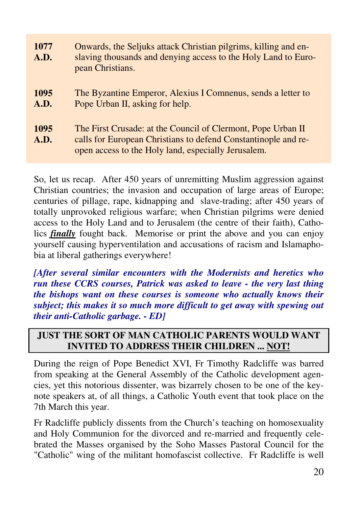| 1077<br>A.D.        | Onwards, the Seljuks attack Christian pilgrims, killing and en-<br>slaving thousands and denying access to the Holy Land to Euro-<br>pean Christians.                                 |
|---------------------|---------------------------------------------------------------------------------------------------------------------------------------------------------------------------------------|
| 1095<br>A.D.        | The Byzantine Emperor, Alexius I Comnenus, sends a letter to<br>Pope Urban II, asking for help.                                                                                       |
| 1095<br><b>A.D.</b> | The First Crusade: at the Council of Clermont, Pope Urban II<br>calls for European Christians to defend Constantinople and re-<br>open access to the Holy land, especially Jerusalem. |

So, let us recap. After 450 years of unremitting Muslim aggression against Christian countries; the invasion and occupation of large areas of Europe; centuries of pillage, rape, kidnapping and slave-trading; after 450 years of totally unprovoked religious warfare; when Christian pilgrims were denied access to the Holy Land and to Jerusalem (the centre of their faith), Catholics *finally* fought back. Memorise or print the above and you can enjoy yourself causing hyperventilation and accusations of racism and Islamaphobia at liberal gatherings everywhere!

*[After several similar encounters with the Modernists and heretics who run these CCRS courses, Patrick was asked to leave - the very last thing the bishops want on these courses is someone who actually knows their subject; this makes it so much more difficult to get away with spewing out their anti-Catholic garbage. - ED]* 

### **JUST THE SORT OF MAN CATHOLIC PARENTS WOULD WANT INVITED TO ADDRESS THEIR CHILDREN ... NOT!**

During the reign of Pope Benedict XVI, Fr Timothy Radcliffe was barred from speaking at the General Assembly of the Catholic development agencies, yet this notorious dissenter, was bizarrely chosen to be one of the keynote speakers at, of all things, a Catholic Youth event that took place on the 7th March this year.

Fr Radcliffe publicly dissents from the Church's teaching on homosexuality and Holy Communion for the divorced and re-married and frequently celebrated the Masses organised by the Soho Masses Pastoral Council for the "Catholic" wing of the militant homofascist collective. Fr Radcliffe is well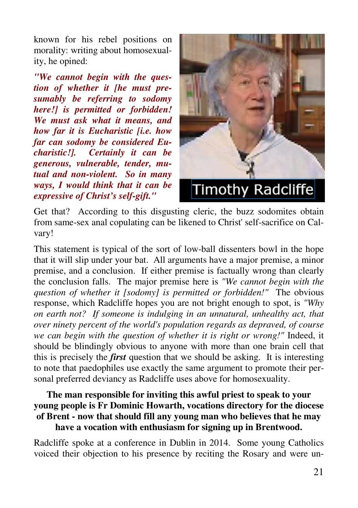known for his rebel positions on morality: writing about homosexuality, he opined:

*"We cannot begin with the question of whether it [he must presumably be referring to sodomy here!] is permitted or forbidden! We must ask what it means, and how far it is Eucharistic [i.e. how far can sodomy be considered Eucharistic!]. Certainly it can be generous, vulnerable, tender, mutual and non-violent. So in many ways, I would think that it can be expressive of Christ's self-gift."* 



Get that? According to this disgusting cleric, the buzz sodomites obtain from same-sex anal copulating can be likened to Christ' self-sacrifice on Calvary!

This statement is typical of the sort of low-ball dissenters bowl in the hope that it will slip under your bat. All arguments have a major premise, a minor premise, and a conclusion. If either premise is factually wrong than clearly the conclusion falls. The major premise here is *"We cannot begin with the question of whether it [sodomy] is permitted or forbidden!"* The obvious response, which Radcliffe hopes you are not bright enough to spot, is *"Why on earth not? If someone is indulging in an unnatural, unhealthy act, that over ninety percent of the world's population regards as depraved, of course we can begin with the question of whether it is right or wrong!"* Indeed, it should be blindingly obvious to anyone with more than one brain cell that this is precisely the *first* question that we should be asking. It is interesting to note that paedophiles use exactly the same argument to promote their personal preferred deviancy as Radcliffe uses above for homosexuality.

#### **The man responsible for inviting this awful priest to speak to your young people is Fr Dominic Howarth, vocations directory for the diocese of Brent - now that should fill any young man who believes that he may have a vocation with enthusiasm for signing up in Brentwood.**

Radcliffe spoke at a conference in Dublin in 2014. Some young Catholics voiced their objection to his presence by reciting the Rosary and were un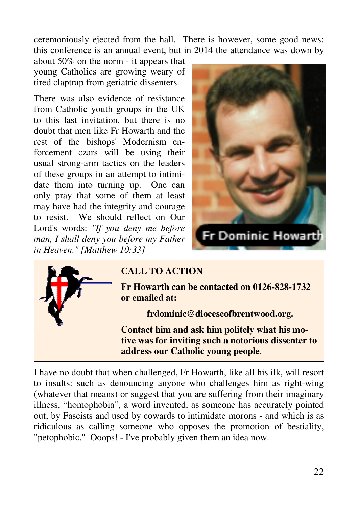ceremoniously ejected from the hall. There is however, some good news: this conference is an annual event, but in 2014 the attendance was down by

about 50% on the norm - it appears that young Catholics are growing weary of tired claptrap from geriatric dissenters.

There was also evidence of resistance from Catholic youth groups in the UK to this last invitation, but there is no doubt that men like Fr Howarth and the rest of the bishops' Modernism enforcement czars will be using their usual strong-arm tactics on the leaders of these groups in an attempt to intimidate them into turning up. One can only pray that some of them at least may have had the integrity and courage to resist. We should reflect on Our Lord's words: *"If you deny me before man, I shall deny you before my Father in Heaven." [Matthew 10:33]* 





## **CALL TO ACTION**

**Fr Howarth can be contacted on 0126-828-1732 or emailed at:** 

**frdominic@dioceseofbrentwood.org.** 

**Contact him and ask him politely what his motive was for inviting such a notorious dissenter to address our Catholic young people**.

I have no doubt that when challenged, Fr Howarth, like all his ilk, will resort to insults: such as denouncing anyone who challenges him as right-wing (whatever that means) or suggest that you are suffering from their imaginary illness, "homophobia", a word invented, as someone has accurately pointed out, by Fascists and used by cowards to intimidate morons - and which is as ridiculous as calling someone who opposes the promotion of bestiality, "petophobic." Ooops! - I've probably given them an idea now.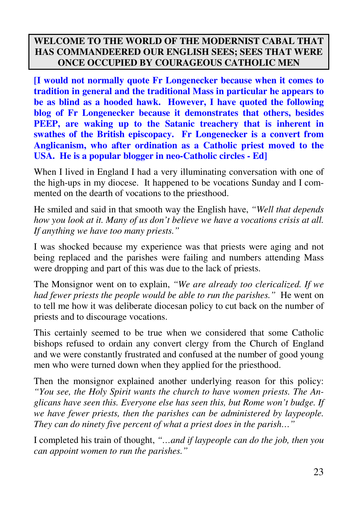### **WELCOME TO THE WORLD OF THE MODERNIST CABAL THAT HAS COMMANDEERED OUR ENGLISH SEES; SEES THAT WERE ONCE OCCUPIED BY COURAGEOUS CATHOLIC MEN**

**[I would not normally quote Fr Longenecker because when it comes to tradition in general and the traditional Mass in particular he appears to be as blind as a hooded hawk. However, I have quoted the following blog of Fr Longenecker because it demonstrates that others, besides PEEP, are waking up to the Satanic treachery that is inherent in swathes of the British episcopacy. Fr Longenecker is a convert from Anglicanism, who after ordination as a Catholic priest moved to the USA. He is a popular blogger in neo-Catholic circles - Ed]** 

When I lived in England I had a very illuminating conversation with one of the high-ups in my diocese. It happened to be vocations Sunday and I commented on the dearth of vocations to the priesthood.

He smiled and said in that smooth way the English have, *"Well that depends how you look at it. Many of us don't believe we have a vocations crisis at all. If anything we have too many priests."* 

I was shocked because my experience was that priests were aging and not being replaced and the parishes were failing and numbers attending Mass were dropping and part of this was due to the lack of priests.

The Monsignor went on to explain, *"We are already too clericalized. If we had fewer priests the people would be able to run the parishes."* He went on to tell me how it was deliberate diocesan policy to cut back on the number of priests and to discourage vocations.

This certainly seemed to be true when we considered that some Catholic bishops refused to ordain any convert clergy from the Church of England and we were constantly frustrated and confused at the number of good young men who were turned down when they applied for the priesthood.

Then the monsignor explained another underlying reason for this policy: *"You see, the Holy Spirit wants the church to have women priests. The Anglicans have seen this. Everyone else has seen this, but Rome won't budge. If we have fewer priests, then the parishes can be administered by laypeople. They can do ninety five percent of what a priest does in the parish…"* 

I completed his train of thought, *"…and if laypeople can do the job, then you can appoint women to run the parishes."*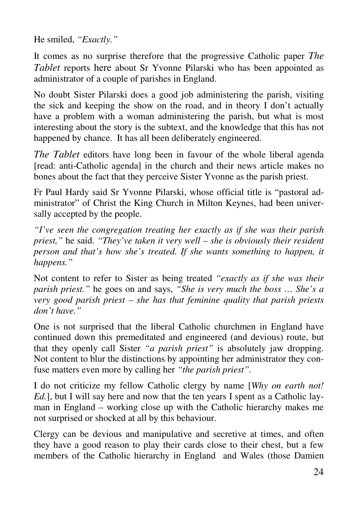He smiled, *"Exactly."*

It comes as no surprise therefore that the progressive Catholic paper *The Tablet* reports here about Sr Yvonne Pilarski who has been appointed as administrator of a couple of parishes in England.

No doubt Sister Pilarski does a good job administering the parish, visiting the sick and keeping the show on the road, and in theory I don't actually have a problem with a woman administering the parish, but what is most interesting about the story is the subtext, and the knowledge that this has not happened by chance. It has all been deliberately engineered.

*The Tablet* editors have long been in favour of the whole liberal agenda [read: anti-Catholic agenda] in the church and their news article makes no bones about the fact that they perceive Sister Yvonne as the parish priest.

Fr Paul Hardy said Sr Yvonne Pilarski, whose official title is "pastoral administrator" of Christ the King Church in Milton Keynes, had been universally accepted by the people.

*"I've seen the congregation treating her exactly as if she was their parish priest,"* he said. *"They've taken it very well – she is obviously their resident person and that's how she's treated. If she wants something to happen, it happens."* 

Not content to refer to Sister as being treated *"exactly as if she was their parish priest."* he goes on and says, *"She is very much the boss … She's a very good parish priest – she has that feminine quality that parish priests don't have."* 

One is not surprised that the liberal Catholic churchmen in England have continued down this premeditated and engineered (and devious) route, but that they openly call Sister *"a parish priest"* is absolutely jaw dropping. Not content to blur the distinctions by appointing her administrator they confuse matters even more by calling her *"the parish priest".*

I do not criticize my fellow Catholic clergy by name [*Why on earth not! Ed.*], but I will say here and now that the ten years I spent as a Catholic layman in England – working close up with the Catholic hierarchy makes me not surprised or shocked at all by this behaviour.

Clergy can be devious and manipulative and secretive at times, and often they have a good reason to play their cards close to their chest, but a few members of the Catholic hierarchy in England and Wales (those Damien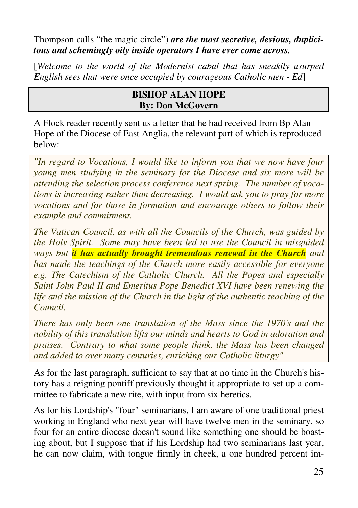Thompson calls "the magic circle") *are the most secretive, devious, duplicitous and schemingly oily inside operators I have ever come across.*

[*Welcome to the world of the Modernist cabal that has sneakily usurped English sees that were once occupied by courageous Catholic men - Ed*]

### **BISHOP ALAN HOPE By: Don McGovern**

A Flock reader recently sent us a letter that he had received from Bp Alan Hope of the Diocese of East Anglia, the relevant part of which is reproduced below:

*"In regard to Vocations, I would like to inform you that we now have four young men studying in the seminary for the Diocese and six more will be attending the selection process conference next spring. The number of vocations is increasing rather than decreasing. I would ask you to pray for more vocations and for those in formation and encourage others to follow their example and commitment.* 

*The Vatican Council, as with all the Councils of the Church, was guided by the Holy Spirit. Some may have been led to use the Council in misguided ways but it has actually brought tremendous renewal in the Church and has made the teachings of the Church more easily accessible for everyone e.g. The Catechism of the Catholic Church. All the Popes and especially Saint John Paul II and Emeritus Pope Benedict XVI have been renewing the life and the mission of the Church in the light of the authentic teaching of the Council.* 

*There has only been one translation of the Mass since the 1970's and the nobility of this translation lifts our minds and hearts to God in adoration and praises. Contrary to what some people think, the Mass has been changed and added to over many centuries, enriching our Catholic liturgy"* 

As for the last paragraph, sufficient to say that at no time in the Church's history has a reigning pontiff previously thought it appropriate to set up a committee to fabricate a new rite, with input from six heretics.

As for his Lordship's "four" seminarians, I am aware of one traditional priest working in England who next year will have twelve men in the seminary, so four for an entire diocese doesn't sound like something one should be boasting about, but I suppose that if his Lordship had two seminarians last year, he can now claim, with tongue firmly in cheek, a one hundred percent im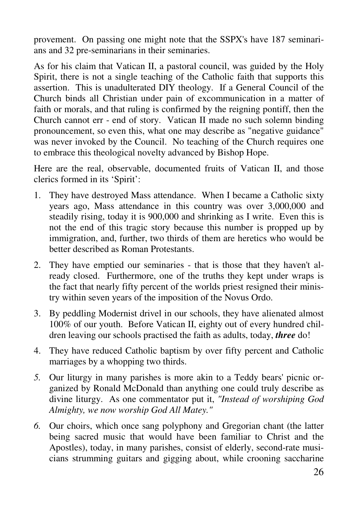provement. On passing one might note that the SSPX's have 187 seminarians and 32 pre-seminarians in their seminaries.

As for his claim that Vatican II, a pastoral council, was guided by the Holy Spirit, there is not a single teaching of the Catholic faith that supports this assertion. This is unadulterated DIY theology. If a General Council of the Church binds all Christian under pain of excommunication in a matter of faith or morals, and that ruling is confirmed by the reigning pontiff, then the Church cannot err - end of story. Vatican II made no such solemn binding pronouncement, so even this, what one may describe as "negative guidance" was never invoked by the Council. No teaching of the Church requires one to embrace this theological novelty advanced by Bishop Hope.

Here are the real, observable, documented fruits of Vatican II, and those clerics formed in its 'Spirit':

- 1. They have destroyed Mass attendance. When I became a Catholic sixty years ago, Mass attendance in this country was over 3,000,000 and steadily rising, today it is 900,000 and shrinking as I write. Even this is not the end of this tragic story because this number is propped up by immigration, and, further, two thirds of them are heretics who would be better described as Roman Protestants.
- 2. They have emptied our seminaries that is those that they haven't already closed. Furthermore, one of the truths they kept under wraps is the fact that nearly fifty percent of the worlds priest resigned their ministry within seven years of the imposition of the Novus Ordo.
- 3. By peddling Modernist drivel in our schools, they have alienated almost 100% of our youth. Before Vatican II, eighty out of every hundred children leaving our schools practised the faith as adults, today, *three* do!
- 4. They have reduced Catholic baptism by over fifty percent and Catholic marriages by a whopping two thirds.
- *5.* Our liturgy in many parishes is more akin to a Teddy bears' picnic organized by Ronald McDonald than anything one could truly describe as divine liturgy. As one commentator put it, *"Instead of worshiping God Almighty, we now worship God All Matey."*
- *6.* Our choirs, which once sang polyphony and Gregorian chant (the latter being sacred music that would have been familiar to Christ and the Apostles), today, in many parishes, consist of elderly, second-rate musicians strumming guitars and gigging about, while crooning saccharine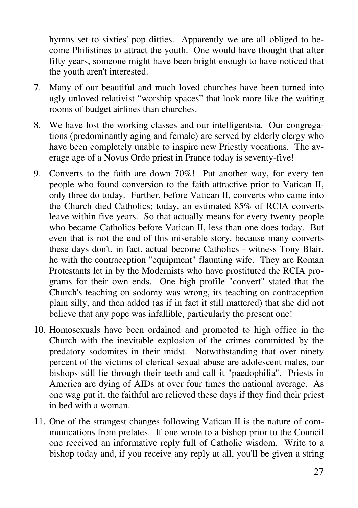hymns set to sixties' pop ditties. Apparently we are all obliged to become Philistines to attract the youth. One would have thought that after fifty years, someone might have been bright enough to have noticed that the youth aren't interested.

- 7. Many of our beautiful and much loved churches have been turned into ugly unloved relativist "worship spaces" that look more like the waiting rooms of budget airlines than churches.
- 8. We have lost the working classes and our intelligentsia. Our congregations (predominantly aging and female) are served by elderly clergy who have been completely unable to inspire new Priestly vocations. The average age of a Novus Ordo priest in France today is seventy-five!
- 9. Converts to the faith are down 70%! Put another way, for every ten people who found conversion to the faith attractive prior to Vatican II, only three do today. Further, before Vatican II, converts who came into the Church died Catholics; today, an estimated 85% of RCIA converts leave within five years. So that actually means for every twenty people who became Catholics before Vatican II, less than one does today. But even that is not the end of this miserable story, because many converts these days don't, in fact, actual become Catholics - witness Tony Blair, he with the contraception "equipment" flaunting wife. They are Roman Protestants let in by the Modernists who have prostituted the RCIA programs for their own ends. One high profile "convert" stated that the Church's teaching on sodomy was wrong, its teaching on contraception plain silly, and then added (as if in fact it still mattered) that she did not believe that any pope was infallible, particularly the present one!
- 10. Homosexuals have been ordained and promoted to high office in the Church with the inevitable explosion of the crimes committed by the predatory sodomites in their midst. Notwithstanding that over ninety percent of the victims of clerical sexual abuse are adolescent males, our bishops still lie through their teeth and call it "paedophilia". Priests in America are dying of AIDs at over four times the national average. As one wag put it, the faithful are relieved these days if they find their priest in bed with a woman.
- 11. One of the strangest changes following Vatican II is the nature of communications from prelates. If one wrote to a bishop prior to the Council one received an informative reply full of Catholic wisdom. Write to a bishop today and, if you receive any reply at all, you'll be given a string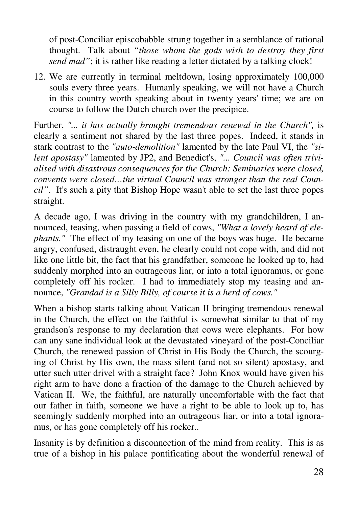of post-Conciliar episcobabble strung together in a semblance of rational thought. Talk about *"those whom the gods wish to destroy they first send mad"*; it is rather like reading a letter dictated by a talking clock!

12. We are currently in terminal meltdown, losing approximately 100,000 souls every three years. Humanly speaking, we will not have a Church in this country worth speaking about in twenty years' time; we are on course to follow the Dutch church over the precipice.

Further, *"... it has actually brought tremendous renewal in the Church",* is clearly a sentiment not shared by the last three popes. Indeed, it stands in stark contrast to the *"auto-demolition"* lamented by the late Paul VI, the *"silent apostasy"* lamented by JP2, and Benedict's, *"... Council was often trivialised with disastrous consequences for the Church: Seminaries were closed, convents were closed…the virtual Council was stronger than the real Council"*. It's such a pity that Bishop Hope wasn't able to set the last three popes straight.

A decade ago, I was driving in the country with my grandchildren, I announced, teasing, when passing a field of cows, *"What a lovely heard of elephants."* The effect of my teasing on one of the boys was huge. He became angry, confused, distraught even, he clearly could not cope with, and did not like one little bit, the fact that his grandfather, someone he looked up to, had suddenly morphed into an outrageous liar, or into a total ignoramus, or gone completely off his rocker. I had to immediately stop my teasing and announce, *"Grandad is a Silly Billy, of course it is a herd of cows."*

When a bishop starts talking about Vatican II bringing tremendous renewal in the Church, the effect on the faithful is somewhat similar to that of my grandson's response to my declaration that cows were elephants. For how can any sane individual look at the devastated vineyard of the post-Conciliar Church, the renewed passion of Christ in His Body the Church, the scourging of Christ by His own, the mass silent (and not so silent) apostasy, and utter such utter drivel with a straight face? John Knox would have given his right arm to have done a fraction of the damage to the Church achieved by Vatican II. We, the faithful, are naturally uncomfortable with the fact that our father in faith, someone we have a right to be able to look up to, has seemingly suddenly morphed into an outrageous liar, or into a total ignoramus, or has gone completely off his rocker..

Insanity is by definition a disconnection of the mind from reality. This is as true of a bishop in his palace pontificating about the wonderful renewal of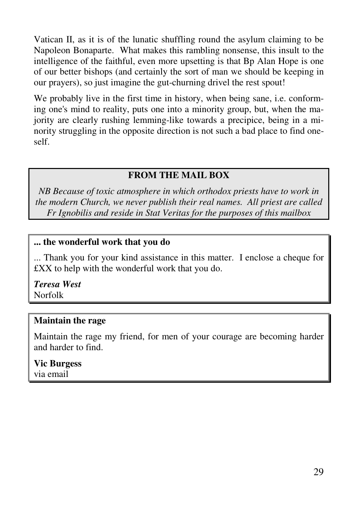Vatican II, as it is of the lunatic shuffling round the asylum claiming to be Napoleon Bonaparte. What makes this rambling nonsense, this insult to the intelligence of the faithful, even more upsetting is that Bp Alan Hope is one of our better bishops (and certainly the sort of man we should be keeping in our prayers), so just imagine the gut-churning drivel the rest spout!

We probably live in the first time in history, when being sane, i.e. conforming one's mind to reality, puts one into a minority group, but, when the majority are clearly rushing lemming-like towards a precipice, being in a minority struggling in the opposite direction is not such a bad place to find oneself.

### **FROM THE MAIL BOX**

*NB Because of toxic atmosphere in which orthodox priests have to work in the modern Church, we never publish their real names. All priest are called Fr Ignobilis and reside in Stat Veritas for the purposes of this mailbox* 

#### **... the wonderful work that you do**

... Thank you for your kind assistance in this matter. I enclose a cheque for £XX to help with the wonderful work that you do.

*Teresa West*  Norfolk

### **Maintain the rage**

Maintain the rage my friend, for men of your courage are becoming harder and harder to find.

## **Vic Burgess**

via email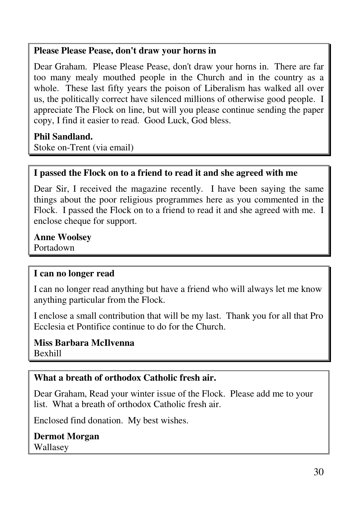#### **Please Please Pease, don't draw your horns in**

Dear Graham. Please Please Pease, don't draw your horns in. There are far too many mealy mouthed people in the Church and in the country as a whole. These last fifty years the poison of Liberalism has walked all over us, the politically correct have silenced millions of otherwise good people. I appreciate The Flock on line, but will you please continue sending the paper copy, I find it easier to read. Good Luck, God bless.

### **Phil Sandland.**

Stoke on-Trent (via email)

### **I passed the Flock on to a friend to read it and she agreed with me**

Dear Sir, I received the magazine recently. I have been saying the same things about the poor religious programmes here as you commented in the Flock. I passed the Flock on to a friend to read it and she agreed with me. I enclose cheque for support.

### **Anne Woolsey**

Portadown

### **I can no longer read**

I can no longer read anything but have a friend who will always let me know anything particular from the Flock.

I enclose a small contribution that will be my last. Thank you for all that Pro Ecclesia et Pontifice continue to do for the Church.

#### **Miss Barbara McIlvenna** Bexhill

## **What a breath of orthodox Catholic fresh air.**

Dear Graham, Read your winter issue of the Flock. Please add me to your list. What a breath of orthodox Catholic fresh air.

Enclosed find donation. My best wishes.

**Dermot Morgan** Wallasey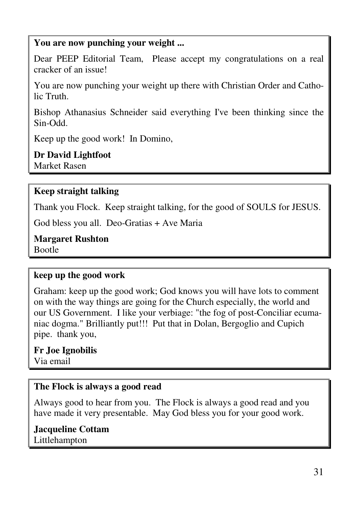#### **You are now punching your weight ...**

Dear PEEP Editorial Team, Please accept my congratulations on a real cracker of an issue!

You are now punching your weight up there with Christian Order and Catholic Truth.

Bishop Athanasius Schneider said everything I've been thinking since the Sin-Odd.

Keep up the good work! In Domino,

**Dr David Lightfoot**  Market Rasen

#### **Keep straight talking**

Thank you Flock. Keep straight talking, for the good of SOULS for JESUS.

God bless you all. Deo-Gratias + Ave Maria

**Margaret Rushton**  Bootle

#### **keep up the good work**

Graham: keep up the good work; God knows you will have lots to comment on with the way things are going for the Church especially, the world and our US Government. I like your verbiage: "the fog of post-Conciliar ecumaniac dogma." Brilliantly put!!! Put that in Dolan, Bergoglio and Cupich pipe. thank you,

**Fr Joe Ignobilis** Via email

#### **The Flock is always a good read**

Always good to hear from you. The Flock is always a good read and you have made it very presentable. May God bless you for your good work.

**Jacqueline Cottam**  Littlehampton